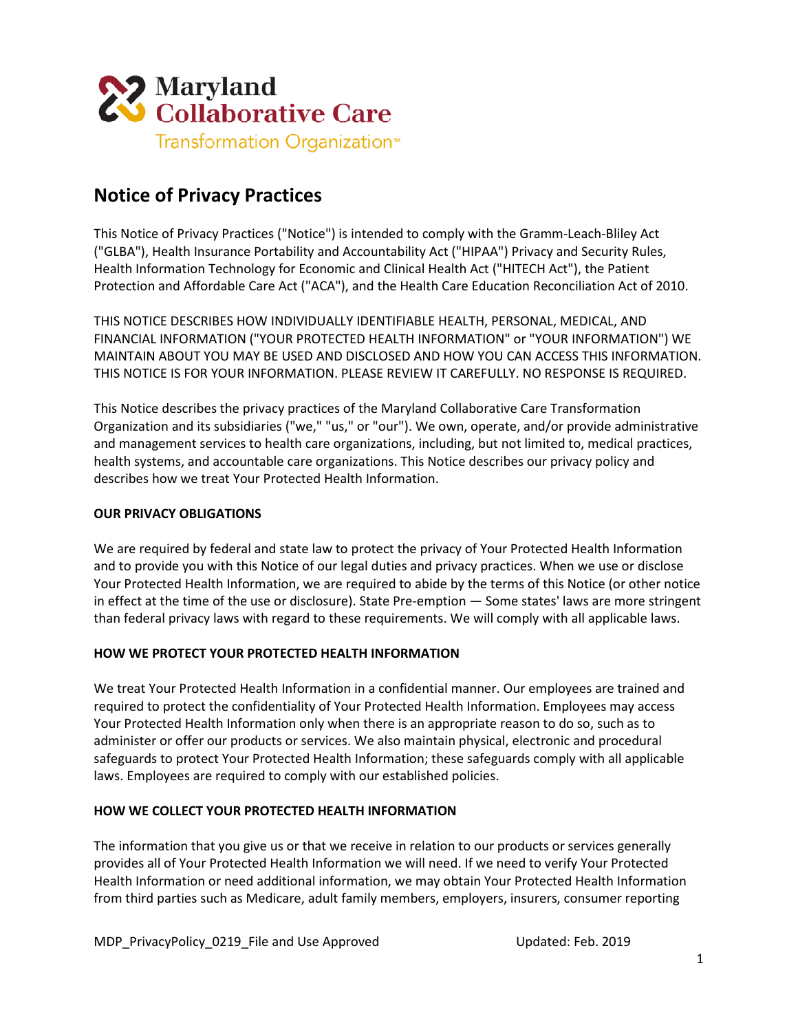

# **Notice of Privacy Practices**

This Notice of Privacy Practices ("Notice") is intended to comply with the Gramm-Leach-Bliley Act ("GLBA"), Health Insurance Portability and Accountability Act ("HIPAA") Privacy and Security Rules, Health Information Technology for Economic and Clinical Health Act ("HITECH Act"), the Patient Protection and Affordable Care Act ("ACA"), and the Health Care Education Reconciliation Act of 2010.

THIS NOTICE DESCRIBES HOW INDIVIDUALLY IDENTIFIABLE HEALTH, PERSONAL, MEDICAL, AND FINANCIAL INFORMATION ("YOUR PROTECTED HEALTH INFORMATION" or "YOUR INFORMATION") WE MAINTAIN ABOUT YOU MAY BE USED AND DISCLOSED AND HOW YOU CAN ACCESS THIS INFORMATION. THIS NOTICE IS FOR YOUR INFORMATION. PLEASE REVIEW IT CAREFULLY. NO RESPONSE IS REQUIRED.

This Notice describes the privacy practices of the Maryland Collaborative Care Transformation Organization and its subsidiaries ("we," "us," or "our"). We own, operate, and/or provide administrative and management services to health care organizations, including, but not limited to, medical practices, health systems, and accountable care organizations. This Notice describes our privacy policy and describes how we treat Your Protected Health Information.

## **OUR PRIVACY OBLIGATIONS**

We are required by federal and state law to protect the privacy of Your Protected Health Information and to provide you with this Notice of our legal duties and privacy practices. When we use or disclose Your Protected Health Information, we are required to abide by the terms of this Notice (or other notice in effect at the time of the use or disclosure). State Pre-emption — Some states' laws are more stringent than federal privacy laws with regard to these requirements. We will comply with all applicable laws.

#### **HOW WE PROTECT YOUR PROTECTED HEALTH INFORMATION**

We treat Your Protected Health Information in a confidential manner. Our employees are trained and required to protect the confidentiality of Your Protected Health Information. Employees may access Your Protected Health Information only when there is an appropriate reason to do so, such as to administer or offer our products or services. We also maintain physical, electronic and procedural safeguards to protect Your Protected Health Information; these safeguards comply with all applicable laws. Employees are required to comply with our established policies.

# **HOW WE COLLECT YOUR PROTECTED HEALTH INFORMATION**

The information that you give us or that we receive in relation to our products or services generally provides all of Your Protected Health Information we will need. If we need to verify Your Protected Health Information or need additional information, we may obtain Your Protected Health Information from third parties such as Medicare, adult family members, employers, insurers, consumer reporting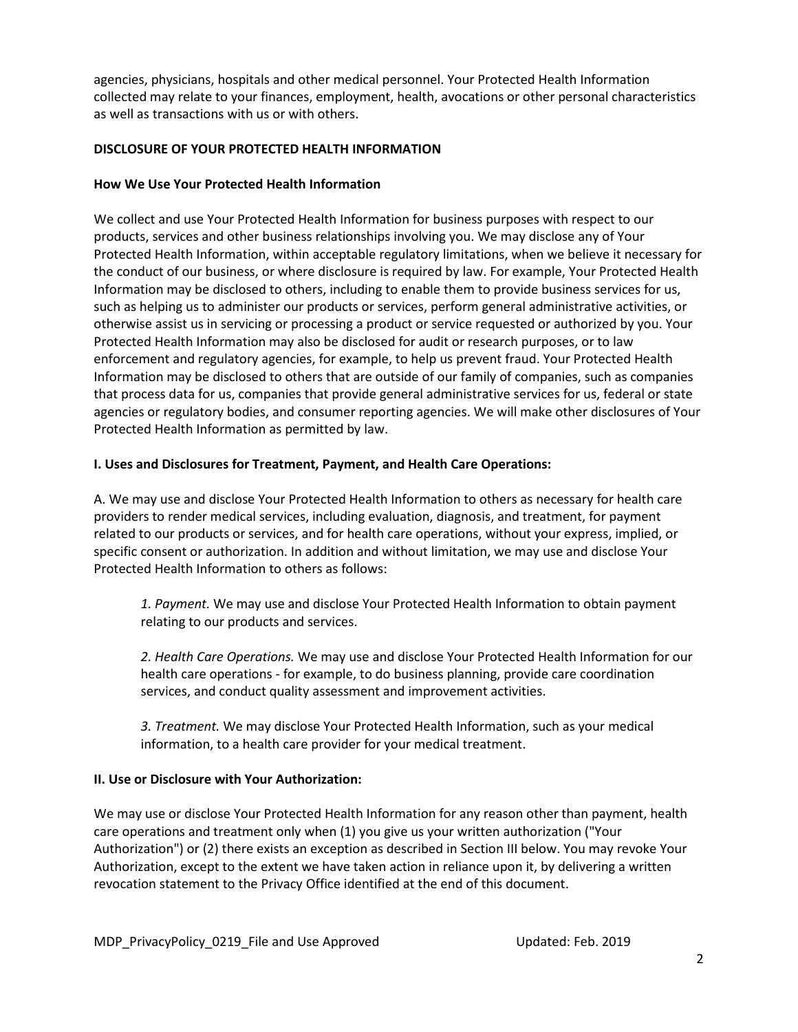agencies, physicians, hospitals and other medical personnel. Your Protected Health Information collected may relate to your finances, employment, health, avocations or other personal characteristics as well as transactions with us or with others.

## **DISCLOSURE OF YOUR PROTECTED HEALTH INFORMATION**

# **How We Use Your Protected Health Information**

We collect and use Your Protected Health Information for business purposes with respect to our products, services and other business relationships involving you. We may disclose any of Your Protected Health Information, within acceptable regulatory limitations, when we believe it necessary for the conduct of our business, or where disclosure is required by law. For example, Your Protected Health Information may be disclosed to others, including to enable them to provide business services for us, such as helping us to administer our products or services, perform general administrative activities, or otherwise assist us in servicing or processing a product or service requested or authorized by you. Your Protected Health Information may also be disclosed for audit or research purposes, or to law enforcement and regulatory agencies, for example, to help us prevent fraud. Your Protected Health Information may be disclosed to others that are outside of our family of companies, such as companies that process data for us, companies that provide general administrative services for us, federal or state agencies or regulatory bodies, and consumer reporting agencies. We will make other disclosures of Your Protected Health Information as permitted by law.

# **I. Uses and Disclosures for Treatment, Payment, and Health Care Operations:**

A. We may use and disclose Your Protected Health Information to others as necessary for health care providers to render medical services, including evaluation, diagnosis, and treatment, for payment related to our products or services, and for health care operations, without your express, implied, or specific consent or authorization. In addition and without limitation, we may use and disclose Your Protected Health Information to others as follows:

*1. Payment.* We may use and disclose Your Protected Health Information to obtain payment relating to our products and services.

*2. Health Care Operations.* We may use and disclose Your Protected Health Information for our health care operations - for example, to do business planning, provide care coordination services, and conduct quality assessment and improvement activities.

*3. Treatment.* We may disclose Your Protected Health Information, such as your medical information, to a health care provider for your medical treatment.

#### **II. Use or Disclosure with Your Authorization:**

We may use or disclose Your Protected Health Information for any reason other than payment, health care operations and treatment only when (1) you give us your written authorization ("Your Authorization") or (2) there exists an exception as described in Section III below. You may revoke Your Authorization, except to the extent we have taken action in reliance upon it, by delivering a written revocation statement to the Privacy Office identified at the end of this document.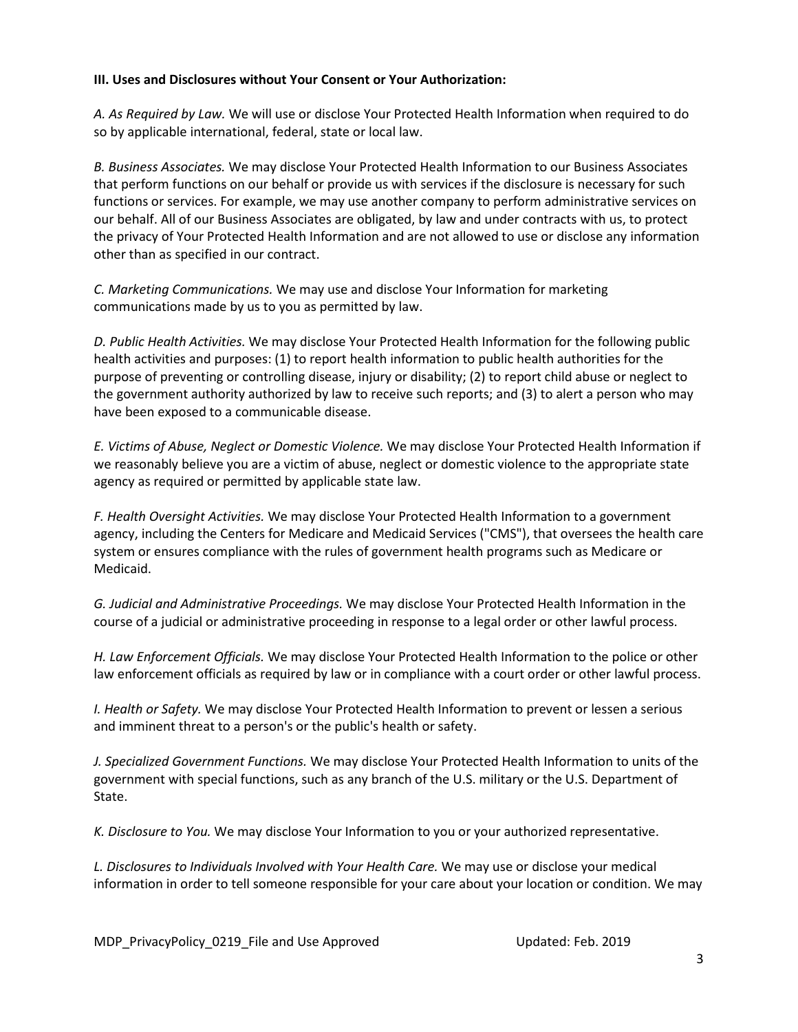## **III. Uses and Disclosures without Your Consent or Your Authorization:**

*A. As Required by Law.* We will use or disclose Your Protected Health Information when required to do so by applicable international, federal, state or local law.

*B. Business Associates.* We may disclose Your Protected Health Information to our Business Associates that perform functions on our behalf or provide us with services if the disclosure is necessary for such functions or services. For example, we may use another company to perform administrative services on our behalf. All of our Business Associates are obligated, by law and under contracts with us, to protect the privacy of Your Protected Health Information and are not allowed to use or disclose any information other than as specified in our contract.

*C. Marketing Communications.* We may use and disclose Your Information for marketing communications made by us to you as permitted by law.

*D. Public Health Activities.* We may disclose Your Protected Health Information for the following public health activities and purposes: (1) to report health information to public health authorities for the purpose of preventing or controlling disease, injury or disability; (2) to report child abuse or neglect to the government authority authorized by law to receive such reports; and (3) to alert a person who may have been exposed to a communicable disease.

*E. Victims of Abuse, Neglect or Domestic Violence.* We may disclose Your Protected Health Information if we reasonably believe you are a victim of abuse, neglect or domestic violence to the appropriate state agency as required or permitted by applicable state law.

*F. Health Oversight Activities.* We may disclose Your Protected Health Information to a government agency, including the Centers for Medicare and Medicaid Services ("CMS"), that oversees the health care system or ensures compliance with the rules of government health programs such as Medicare or Medicaid.

*G. Judicial and Administrative Proceedings.* We may disclose Your Protected Health Information in the course of a judicial or administrative proceeding in response to a legal order or other lawful process.

*H. Law Enforcement Officials.* We may disclose Your Protected Health Information to the police or other law enforcement officials as required by law or in compliance with a court order or other lawful process.

*I. Health or Safety.* We may disclose Your Protected Health Information to prevent or lessen a serious and imminent threat to a person's or the public's health or safety.

*J. Specialized Government Functions.* We may disclose Your Protected Health Information to units of the government with special functions, such as any branch of the U.S. military or the U.S. Department of State.

*K. Disclosure to You.* We may disclose Your Information to you or your authorized representative.

*L. Disclosures to Individuals Involved with Your Health Care.* We may use or disclose your medical information in order to tell someone responsible for your care about your location or condition. We may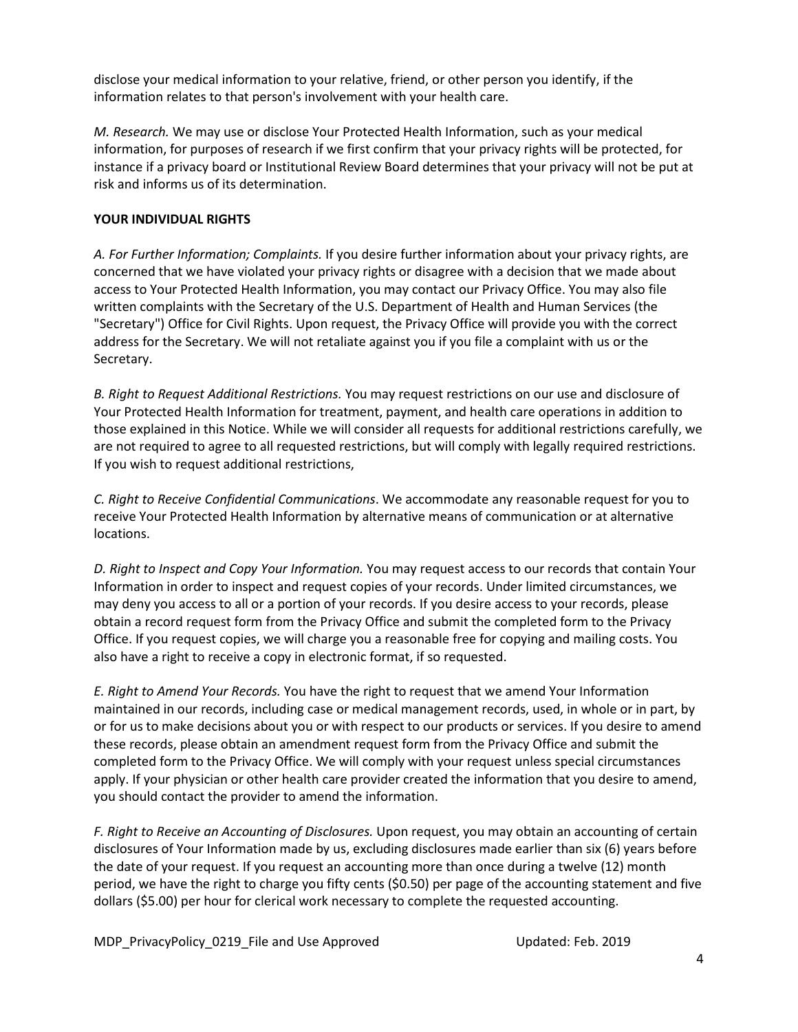disclose your medical information to your relative, friend, or other person you identify, if the information relates to that person's involvement with your health care.

*M. Research.* We may use or disclose Your Protected Health Information, such as your medical information, for purposes of research if we first confirm that your privacy rights will be protected, for instance if a privacy board or Institutional Review Board determines that your privacy will not be put at risk and informs us of its determination.

## **YOUR INDIVIDUAL RIGHTS**

*A. For Further Information; Complaints.* If you desire further information about your privacy rights, are concerned that we have violated your privacy rights or disagree with a decision that we made about access to Your Protected Health Information, you may contact our Privacy Office. You may also file written complaints with the Secretary of the U.S. Department of Health and Human Services (the "Secretary") Office for Civil Rights. Upon request, the Privacy Office will provide you with the correct address for the Secretary. We will not retaliate against you if you file a complaint with us or the Secretary.

*B. Right to Request Additional Restrictions.* You may request restrictions on our use and disclosure of Your Protected Health Information for treatment, payment, and health care operations in addition to those explained in this Notice. While we will consider all requests for additional restrictions carefully, we are not required to agree to all requested restrictions, but will comply with legally required restrictions. If you wish to request additional restrictions,

*C. Right to Receive Confidential Communications*. We accommodate any reasonable request for you to receive Your Protected Health Information by alternative means of communication or at alternative locations.

*D. Right to Inspect and Copy Your Information.* You may request access to our records that contain Your Information in order to inspect and request copies of your records. Under limited circumstances, we may deny you access to all or a portion of your records. If you desire access to your records, please obtain a record request form from the Privacy Office and submit the completed form to the Privacy Office. If you request copies, we will charge you a reasonable free for copying and mailing costs. You also have a right to receive a copy in electronic format, if so requested.

*E. Right to Amend Your Records.* You have the right to request that we amend Your Information maintained in our records, including case or medical management records, used, in whole or in part, by or for us to make decisions about you or with respect to our products or services. If you desire to amend these records, please obtain an amendment request form from the Privacy Office and submit the completed form to the Privacy Office. We will comply with your request unless special circumstances apply. If your physician or other health care provider created the information that you desire to amend, you should contact the provider to amend the information.

*F. Right to Receive an Accounting of Disclosures.* Upon request, you may obtain an accounting of certain disclosures of Your Information made by us, excluding disclosures made earlier than six (6) years before the date of your request. If you request an accounting more than once during a twelve (12) month period, we have the right to charge you fifty cents (\$0.50) per page of the accounting statement and five dollars (\$5.00) per hour for clerical work necessary to complete the requested accounting.